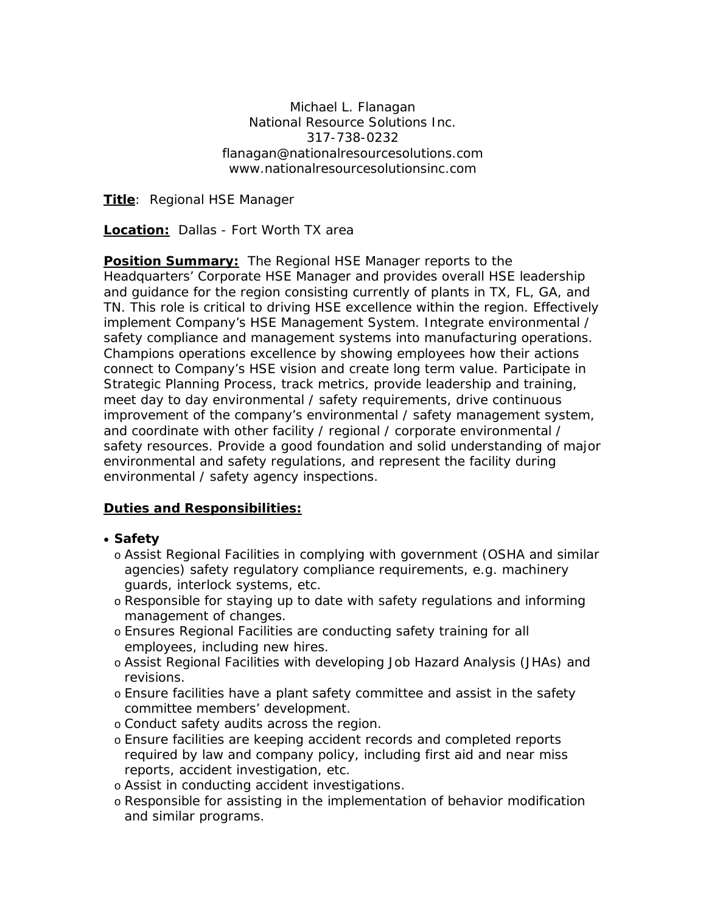Michael L. Flanagan National Resource Solutions Inc. 317-738-0232 flanagan@nationalresourcesolutions.com www.nationalresourcesolutionsinc.com

**Title**: Regional HSE Manager

**Location:** Dallas - Fort Worth TX area

**Position Summary:** The Regional HSE Manager reports to the Headquarters' Corporate HSE Manager and provides overall HSE leadership and guidance for the region consisting currently of plants in TX, FL, GA, and TN. This role is critical to driving HSE excellence within the region. Effectively implement Company's HSE Management System. Integrate environmental / safety compliance and management systems into manufacturing operations. Champions operations excellence by showing employees how their actions connect to Company's HSE vision and create long term value. Participate in Strategic Planning Process, track metrics, provide leadership and training, meet day to day environmental / safety requirements, drive continuous improvement of the company's environmental / safety management system, and coordinate with other facility / regional / corporate environmental / safety resources. Provide a good foundation and solid understanding of major environmental and safety regulations, and represent the facility during environmental / safety agency inspections.

## **Duties and Responsibilities:**

- **Safety**
	- o Assist Regional Facilities in complying with government (OSHA and similar agencies) safety regulatory compliance requirements, e.g. machinery guards, interlock systems, etc.
	- o Responsible for staying up to date with safety regulations and informing management of changes.
	- o Ensures Regional Facilities are conducting safety training for all employees, including new hires.
	- o Assist Regional Facilities with developing Job Hazard Analysis (JHAs) and revisions.
	- o Ensure facilities have a plant safety committee and assist in the safety committee members' development.
	- o Conduct safety audits across the region.
	- o Ensure facilities are keeping accident records and completed reports required by law and company policy, including first aid and near miss reports, accident investigation, etc.
	- o Assist in conducting accident investigations.
	- o Responsible for assisting in the implementation of behavior modification and similar programs.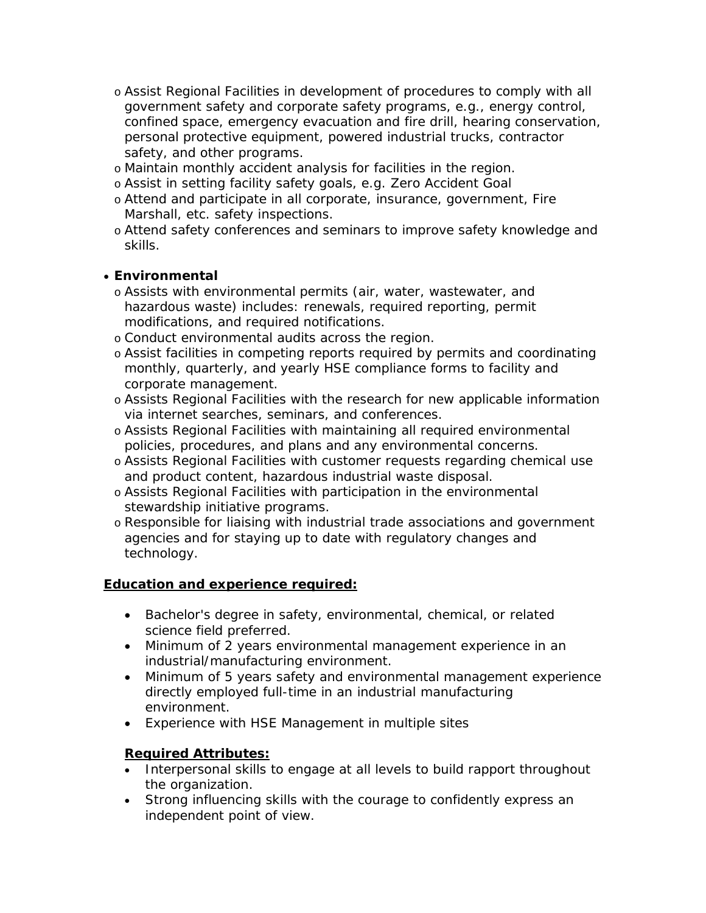- o Assist Regional Facilities in development of procedures to comply with all government safety and corporate safety programs, e.g., energy control, confined space, emergency evacuation and fire drill, hearing conservation, personal protective equipment, powered industrial trucks, contractor safety, and other programs.
- o Maintain monthly accident analysis for facilities in the region.
- o Assist in setting facility safety goals, e.g. Zero Accident Goal
- o Attend and participate in all corporate, insurance, government, Fire Marshall, etc. safety inspections.
- o Attend safety conferences and seminars to improve safety knowledge and skills.

## • **Environmental**

- o Assists with environmental permits (air, water, wastewater, and hazardous waste) includes: renewals, required reporting, permit modifications, and required notifications.
- o Conduct environmental audits across the region.
- o Assist facilities in competing reports required by permits and coordinating monthly, quarterly, and yearly HSE compliance forms to facility and corporate management.
- o Assists Regional Facilities with the research for new applicable information via internet searches, seminars, and conferences.
- o Assists Regional Facilities with maintaining all required environmental policies, procedures, and plans and any environmental concerns.
- o Assists Regional Facilities with customer requests regarding chemical use and product content, hazardous industrial waste disposal.
- o Assists Regional Facilities with participation in the environmental stewardship initiative programs.
- o Responsible for liaising with industrial trade associations and government agencies and for staying up to date with regulatory changes and technology.

## **Education and experience required:**

- Bachelor's degree in safety, environmental, chemical, or related science field preferred.
- Minimum of 2 years environmental management experience in an industrial/manufacturing environment.
- Minimum of 5 years safety and environmental management experience directly employed full-time in an industrial manufacturing environment.
- Experience with HSE Management in multiple sites

## *Required Attributes:*

- Interpersonal skills to engage at all levels to build rapport throughout the organization.
- Strong influencing skills with the courage to confidently express an independent point of view.